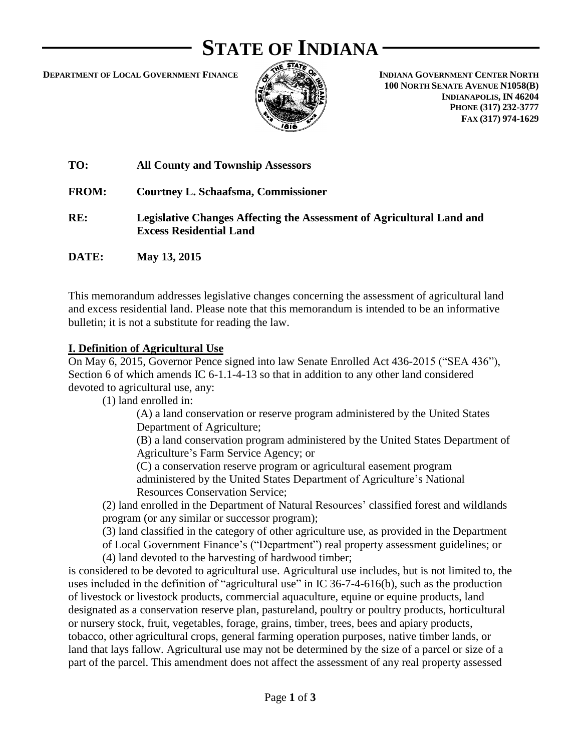# **STATE OF INDIANA**

**DEPARTMENT OF LOCAL GOVERNMENT FINANCE**



**INDIANA GOVERNMENT CENTER NORTH 100 NORTH SENATE AVENUE N1058(B) INDIANAPOLIS, IN 46204 PHONE (317) 232-3777 FAX (317) 974-1629**

| TO:          | <b>All County and Township Assessors</b>                                                                       |
|--------------|----------------------------------------------------------------------------------------------------------------|
| <b>FROM:</b> | <b>Courtney L. Schaafsma, Commissioner</b>                                                                     |
| RE:          | <b>Legislative Changes Affecting the Assessment of Agricultural Land and</b><br><b>Excess Residential Land</b> |
| DATE:        | May 13, 2015                                                                                                   |

This memorandum addresses legislative changes concerning the assessment of agricultural land and excess residential land. Please note that this memorandum is intended to be an informative bulletin; it is not a substitute for reading the law.

#### **I. Definition of Agricultural Use**

On May 6, 2015, Governor Pence signed into law Senate Enrolled Act 436-2015 ("SEA 436"), Section 6 of which amends IC 6-1.1-4-13 so that in addition to any other land considered devoted to agricultural use, any:

(1) land enrolled in:

(A) a land conservation or reserve program administered by the United States Department of Agriculture;

(B) a land conservation program administered by the United States Department of Agriculture's Farm Service Agency; or

(C) a conservation reserve program or agricultural easement program administered by the United States Department of Agriculture's National Resources Conservation Service;

(2) land enrolled in the Department of Natural Resources' classified forest and wildlands program (or any similar or successor program);

(3) land classified in the category of other agriculture use, as provided in the Department

of Local Government Finance's ("Department") real property assessment guidelines; or

(4) land devoted to the harvesting of hardwood timber;

is considered to be devoted to agricultural use. Agricultural use includes, but is not limited to, the uses included in the definition of "agricultural use" in IC 36-7-4-616(b), such as the production of livestock or livestock products, commercial aquaculture, equine or equine products, land designated as a conservation reserve plan, pastureland, poultry or poultry products, horticultural or nursery stock, fruit, vegetables, forage, grains, timber, trees, bees and apiary products, tobacco, other agricultural crops, general farming operation purposes, native timber lands, or land that lays fallow. Agricultural use may not be determined by the size of a parcel or size of a part of the parcel. This amendment does not affect the assessment of any real property assessed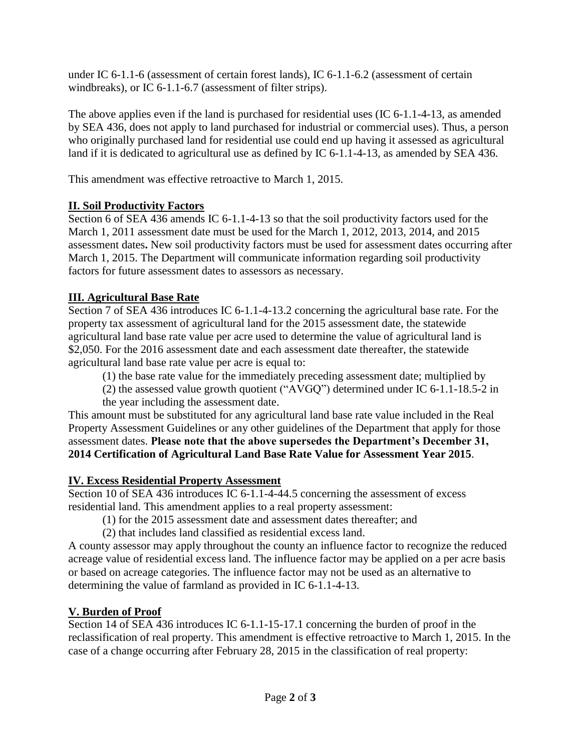under IC 6-1.1-6 (assessment of certain forest lands), IC 6-1.1-6.2 (assessment of certain windbreaks), or IC 6-1.1-6.7 (assessment of filter strips).

The above applies even if the land is purchased for residential uses (IC 6-1.1-4-13, as amended by SEA 436, does not apply to land purchased for industrial or commercial uses). Thus, a person who originally purchased land for residential use could end up having it assessed as agricultural land if it is dedicated to agricultural use as defined by IC 6-1.1-4-13, as amended by SEA 436.

This amendment was effective retroactive to March 1, 2015.

## **II. Soil Productivity Factors**

Section 6 of SEA 436 amends IC 6-1.1-4-13 so that the soil productivity factors used for the March 1, 2011 assessment date must be used for the March 1, 2012, 2013, 2014, and 2015 assessment dates**.** New soil productivity factors must be used for assessment dates occurring after March 1, 2015. The Department will communicate information regarding soil productivity factors for future assessment dates to assessors as necessary.

## **III. Agricultural Base Rate**

Section 7 of SEA 436 introduces IC 6-1.1-4-13.2 concerning the agricultural base rate. For the property tax assessment of agricultural land for the 2015 assessment date, the statewide agricultural land base rate value per acre used to determine the value of agricultural land is \$2,050. For the 2016 assessment date and each assessment date thereafter, the statewide agricultural land base rate value per acre is equal to:

- (1) the base rate value for the immediately preceding assessment date; multiplied by
- (2) the assessed value growth quotient ("AVGQ") determined under IC 6-1.1-18.5-2 in the year including the assessment date.

This amount must be substituted for any agricultural land base rate value included in the Real Property Assessment Guidelines or any other guidelines of the Department that apply for those assessment dates. **Please note that the above supersedes the Department's December 31, 2014 Certification of Agricultural Land Base Rate Value for Assessment Year 2015**.

#### **IV. Excess Residential Property Assessment**

Section 10 of SEA 436 introduces IC 6-1.1-4-44.5 concerning the assessment of excess residential land. This amendment applies to a real property assessment:

- (1) for the 2015 assessment date and assessment dates thereafter; and
- (2) that includes land classified as residential excess land.

A county assessor may apply throughout the county an influence factor to recognize the reduced acreage value of residential excess land. The influence factor may be applied on a per acre basis or based on acreage categories. The influence factor may not be used as an alternative to determining the value of farmland as provided in IC 6-1.1-4-13.

## **V. Burden of Proof**

Section 14 of SEA 436 introduces IC 6-1.1-15-17.1 concerning the burden of proof in the reclassification of real property. This amendment is effective retroactive to March 1, 2015. In the case of a change occurring after February 28, 2015 in the classification of real property: